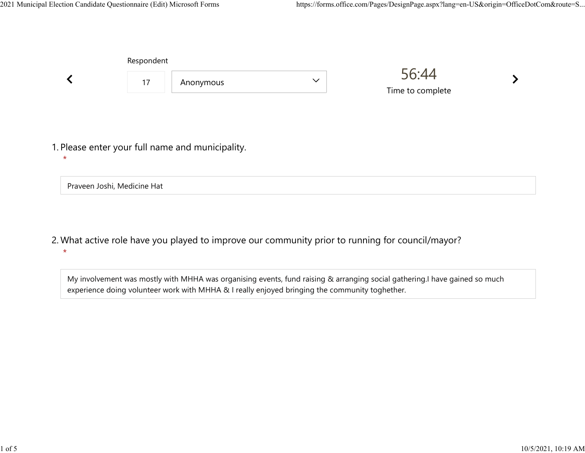Praveen Joshi, Medicine Hat

|         | Respondent |                                                  |              |                           |  |  |
|---------|------------|--------------------------------------------------|--------------|---------------------------|--|--|
|         | 17         | Anonymous                                        | $\checkmark$ | 56:44<br>Time to complete |  |  |
|         |            |                                                  |              |                           |  |  |
| $\star$ |            | 1. Please enter your full name and municipality. |              |                           |  |  |

What active role have you played to improve our community prior to running for council/mayor? 2.  $\star$ 

My involvement was mostly with MHHA was organising events, fund raising & arranging social gathering.I have gained so much experience doing volunteer work with MHHA & I really enjoyed bringing the community toghether.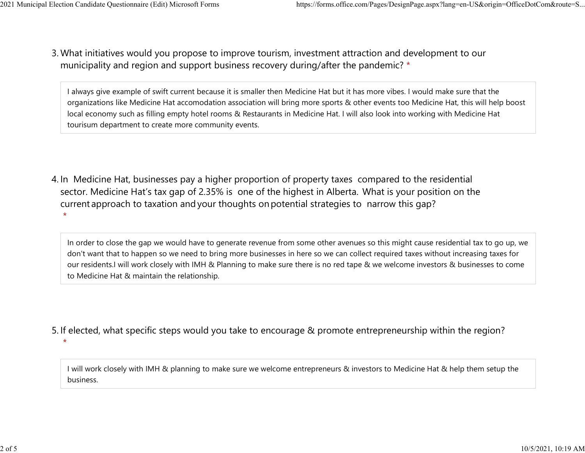What initiatives would you propose to improve tourism, investment attraction and development to our 3. municipality and region and support business recovery during/after the pandemic? \* 2021 Municipal Election Candidate Questionnaire (Edit) Microsoft Forms https://forms.office.com/Pages/DesignPage.aspx?lang=en-US&origin=OfficeDotCom&route=S...<br>2 Mhat initiatives would you propose to improve tourism invest

> I always give example of swift current because it is smaller then Medicine Hat but it has more vibes. I would make sure that the organizations like Medicine Hat accomodation association will bring more sports & other events too Medicine Hat, this will help boost local economy such as filling empty hotel rooms & Restaurants in Medicine Hat. I will also look into working with Medicine Hat tourisum department to create more community events.

4. In Medicine Hat, businesses pay a higher proportion of property taxes compared to the residential sector.  Medicine Hat's tax gap of 2.35% is one of the highest in Alberta.  What is your position on the current approach to taxation and your thoughts on potential strategies to narrow this gap?  $\star$ 

In order to close the gap we would have to generate revenue from some other avenues so this might cause residential tax to go up, we don't want that to happen so we need to bring more businesses in here so we can collect required taxes without increasing taxes for our residents.I will work closely with IMH & Planning to make sure there is no red tape & we welcome investors & businesses to come to Medicine Hat & maintain the relationship.

5. If elected, what specific steps would you take to encourage & promote entrepreneurship within the region?  $\star$ 

I will work closely with IMH & planning to make sure we welcome entrepreneurs & investors to Medicine Hat & help them setup the business.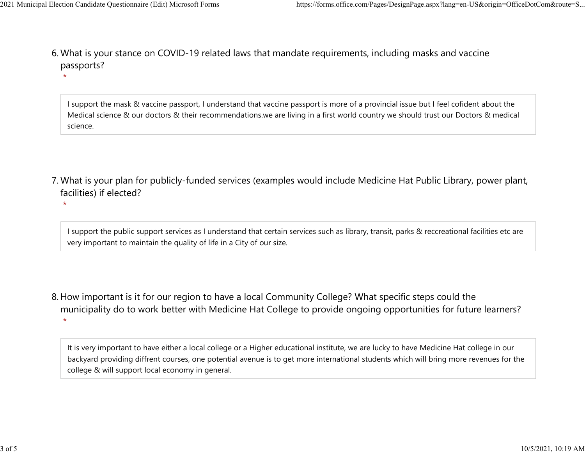$\star$ 

What is your stance on COVID-19 related laws that mandate requirements, including masks and vaccine 6. passports? 2021 Municipal Election Candidate Questionnaire (Edit) Microsoft Forms https://forms.office.com/Pages/DesignPage.aspx?lang=en-US&origin=OfficeDotCom&route=S...<br>6 Mhat is vour stance on COVID-19 related laws that mandate re

> I support the mask & vaccine passport, I understand that vaccine passport is more of a provincial issue but I feel cofident about the Medical science & our doctors & their recommendations.we are living in a first world country we should trust our Doctors & medical science.

What is your plan for publicly-funded services (examples would include Medicine Hat Public Library, power plant, 7. facilities) if elected?

 $\star$ 

I support the public support services as I understand that certain services such as library, transit, parks & reccreational facilities etc are very important to maintain the quality of life in a City of our size.

8. How important is it for our region to have a local Community College? What specific steps could the municipality do to work better with Medicine Hat College to provide ongoing opportunities for future learners?  $\star$ 

It is very important to have either a local college or a Higher educational institute, we are lucky to have Medicine Hat college in our backyard providing diffrent courses, one potential avenue is to get more international students which will bring more revenues for the college & will support local economy in general.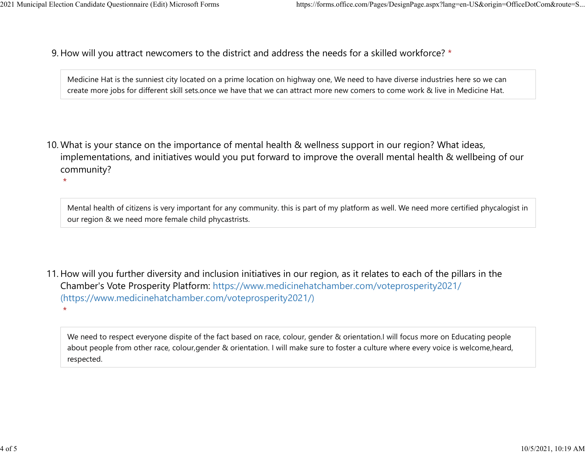$\star$ 

 $\star$ 

9. How will you attract newcomers to the district and address the needs for a skilled workforce? \* 2021 Municipal Election Candidate Questionnaire (Edit) Microsoft Forms https://forms.office.com/Pages/DesignPage.aspx?lang=en-US&origin=OfficeDotCom&route=S...<br>Q How will you attract newcomers to the district and address t

> Medicine Hat is the sunniest city located on a prime location on highway one, We need to have diverse industries here so we can create more jobs for different skill sets.once we have that we can attract more new comers to come work & live in Medicine Hat.

10. What is your stance on the importance of mental health & wellness support in our region? What ideas, implementations, and initiatives would you put forward to improve the overall mental health & wellbeing of our community?

Mental health of citizens is very important for any community. this is part of my platform as well. We need more certified phycalogist in our region & we need more female child phycastrists.

11. How will you further diversity and inclusion initiatives in our region, as it relates to each of the pillars in the Chamber's Vote Prosperity Platform: https://www.medicinehatchamber.com/voteprosperity2021/ (https://www.medicinehatchamber.com/voteprosperity2021/)

We need to respect everyone dispite of the fact based on race, colour, gender & orientation.I will focus more on Educating people about people from other race, colour,gender & orientation. I will make sure to foster a culture where every voice is welcome,heard, respected.